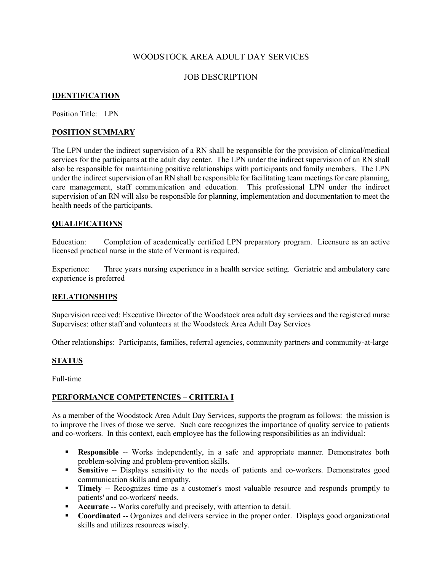### WOODSTOCK AREA ADULT DAY SERVICES

### JOB DESCRIPTION

### **IDENTIFICATION**

Position Title: LPN

#### **POSITION SUMMARY**

The LPN under the indirect supervision of a RN shall be responsible for the provision of clinical/medical services for the participants at the adult day center. The LPN under the indirect supervision of an RN shall also be responsible for maintaining positive relationships with participants and family members. The LPN under the indirect supervision of an RN shall be responsible for facilitating team meetings for care planning, care management, staff communication and education. This professional LPN under the indirect supervision of an RN will also be responsible for planning, implementation and documentation to meet the health needs of the participants.

#### **QUALIFICATIONS**

Education: Completion of academically certified LPN preparatory program. Licensure as an active licensed practical nurse in the state of Vermont is required.

Experience: Three years nursing experience in a health service setting. Geriatric and ambulatory care experience is preferred

#### **RELATIONSHIPS**

Supervision received: Executive Director of the Woodstock area adult day services and the registered nurse Supervises: other staff and volunteers at the Woodstock Area Adult Day Services

Other relationships: Participants, families, referral agencies, community partners and community-at-large

#### **STATUS**

Full-time

### **PERFORMANCE COMPETENCIES** – **CRITERIA I**

As a member of the Woodstock Area Adult Day Services, supports the program as follows: the mission is to improve the lives of those we serve. Such care recognizes the importance of quality service to patients and co-workers. In this context, each employee has the following responsibilities as an individual:

- **Responsible** -- Works independently, in a safe and appropriate manner. Demonstrates both problem-solving and problem-prevention skills.
- **Sensitive** -- Displays sensitivity to the needs of patients and co-workers. Demonstrates good communication skills and empathy.
- **Timely** -- Recognizes time as a customer's most valuable resource and responds promptly to patients' and co-workers' needs.
- **Accurate** -- Works carefully and precisely, with attention to detail.
- **Coordinated** -- Organizes and delivers service in the proper order. Displays good organizational skills and utilizes resources wisely.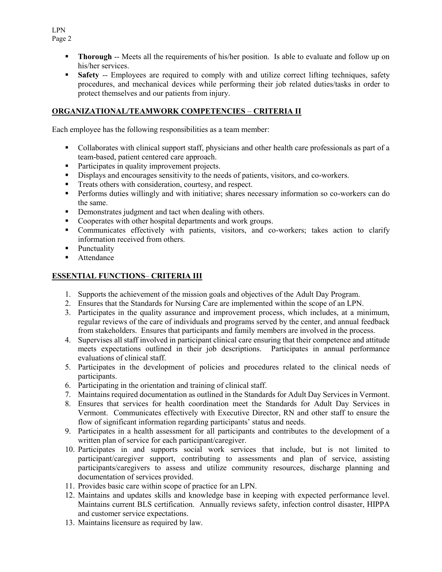- **Thorough** -- Meets all the requirements of his/her position. Is able to evaluate and follow up on his/her services.
- **Safety** -- Employees are required to comply with and utilize correct lifting techniques, safety procedures, and mechanical devices while performing their job related duties/tasks in order to protect themselves and our patients from injury.

## **ORGANIZATIONAL/TEAMWORK COMPETENCIES** – **CRITERIA II**

Each employee has the following responsibilities as a team member:

- Collaborates with clinical support staff, physicians and other health care professionals as part of a team-based, patient centered care approach.
- Participates in quality improvement projects.
- Displays and encourages sensitivity to the needs of patients, visitors, and co-workers.
- Treats others with consideration, courtesy, and respect.
- Performs duties willingly and with initiative; shares necessary information so co-workers can do the same.
- Demonstrates judgment and tact when dealing with others.
- Cooperates with other hospital departments and work groups.
- Communicates effectively with patients, visitors, and co-workers; takes action to clarify information received from others.
- Punctuality
- **Attendance**

## **ESSENTIAL FUNCTIONS**– **CRITERIA III**

- 1. Supports the achievement of the mission goals and objectives of the Adult Day Program.
- 2. Ensures that the Standards for Nursing Care are implemented within the scope of an LPN.
- 3. Participates in the quality assurance and improvement process, which includes, at a minimum, regular reviews of the care of individuals and programs served by the center, and annual feedback from stakeholders. Ensures that participants and family members are involved in the process.
- 4. Supervises all staff involved in participant clinical care ensuring that their competence and attitude meets expectations outlined in their job descriptions. Participates in annual performance evaluations of clinical staff.
- 5. Participates in the development of policies and procedures related to the clinical needs of participants.
- 6. Participating in the orientation and training of clinical staff.
- 7. Maintains required documentation as outlined in the Standards for Adult Day Services in Vermont.
- 8. Ensures that services for health coordination meet the Standards for Adult Day Services in Vermont. Communicates effectively with Executive Director, RN and other staff to ensure the flow of significant information regarding participants' status and needs.
- 9. Participates in a health assessment for all participants and contributes to the development of a written plan of service for each participant/caregiver.
- 10. Participates in and supports social work services that include, but is not limited to participant/caregiver support, contributing to assessments and plan of service, assisting participants/caregivers to assess and utilize community resources, discharge planning and documentation of services provided.
- 11. Provides basic care within scope of practice for an LPN.
- 12. Maintains and updates skills and knowledge base in keeping with expected performance level. Maintains current BLS certification. Annually reviews safety, infection control disaster, HIPPA and customer service expectations.
- 13. Maintains licensure as required by law.

LPN Page 2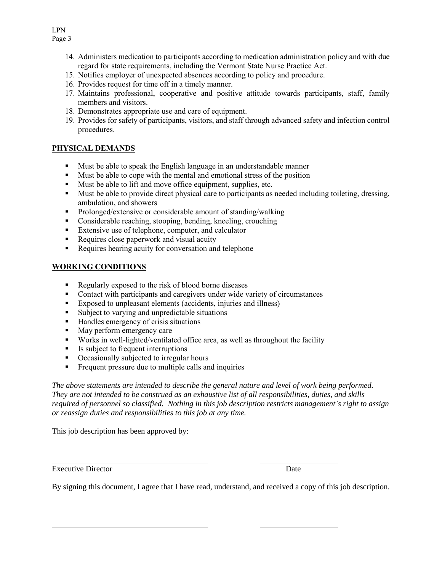Page 3

- 14. Administers medication to participants according to medication administration policy and with due regard for state requirements, including the Vermont State Nurse Practice Act.
- 15. Notifies employer of unexpected absences according to policy and procedure.
- 16. Provides request for time off in a timely manner.
- 17. Maintains professional, cooperative and positive attitude towards participants, staff, family members and visitors.
- 18. Demonstrates appropriate use and care of equipment.
- 19. Provides for safety of participants, visitors, and staff through advanced safety and infection control procedures.

# **PHYSICAL DEMANDS**

- Must be able to speak the English language in an understandable manner
- Must be able to cope with the mental and emotional stress of the position
- Must be able to lift and move office equipment, supplies, etc.
- Must be able to provide direct physical care to participants as needed including toileting, dressing, ambulation, and showers
- **Prolonged/extensive or considerable amount of standing/walking**
- Considerable reaching, stooping, bending, kneeling, crouching
- Extensive use of telephone, computer, and calculator
- Requires close paperwork and visual acuity
- Requires hearing acuity for conversation and telephone

## **WORKING CONDITIONS**

- Regularly exposed to the risk of blood borne diseases
- **Contact with participants and caregivers under wide variety of circumstances**
- Exposed to unpleasant elements (accidents, injuries and illness)
- Subject to varying and unpredictable situations
- Handles emergency of crisis situations
- May perform emergency care
- Works in well-lighted/ventilated office area, as well as throughout the facility
- Is subject to frequent interruptions
- Occasionally subjected to irregular hours
- Frequent pressure due to multiple calls and inquiries

*The above statements are intended to describe the general nature and level of work being performed. They are not intended to be construed as an exhaustive list of all responsibilities, duties, and skills required of personnel so classified. Nothing in this job description restricts management's right to assign or reassign duties and responsibilities to this job at any time.*

This job description has been approved by:

Executive Director Date

By signing this document, I agree that I have read, understand, and received a copy of this job description.

LPN